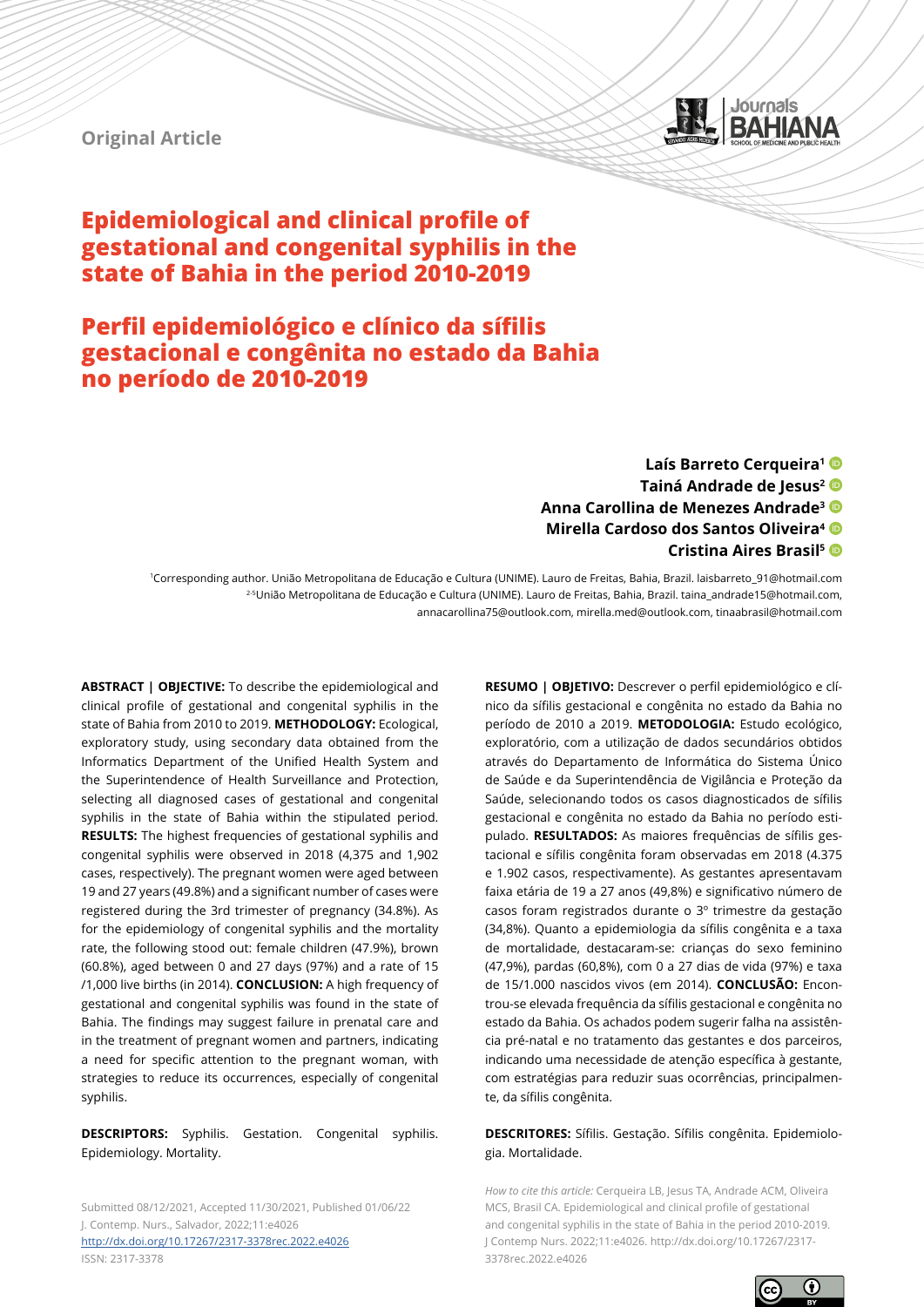

# **Original Article**

# **Epidemiological and clinical profile of gestational and congenital syphilis in the state of Bahia in the period 2010-2019**

# **Perfil epidemiológico e clínico da sífilis gestacional e congênita no estado da Bahia no período de 2010-2019**

**Laís Barreto Cerqueira1 Tainá Andrade de Jesus2 Anna Carollina de Menezes Andrade3 Mirella Cardoso dos Santos Oliveira4 Cristina Aires Brasil5**

1Corresponding author. União Metropolitana de Educação e Cultura (UNIME). Lauro de Freitas, Bahia, Brazil. laisbarreto\_91@hotmail.com 2-5União Metropolitana de Educação e Cultura (UNIME). Lauro de Freitas, Bahia, Brazil. taina\_andrade15@hotmail.com, annacarollina75@outlook.com, mirella.med@outlook.com, tinaabrasil@hotmail.com

**ABSTRACT | OBJECTIVE:** To describe the epidemiological and clinical profile of gestational and congenital syphilis in the state of Bahia from 2010 to 2019. **METHODOLOGY:** Ecological, exploratory study, using secondary data obtained from the Informatics Department of the Unified Health System and the Superintendence of Health Surveillance and Protection, selecting all diagnosed cases of gestational and congenital syphilis in the state of Bahia within the stipulated period. **RESULTS:** The highest frequencies of gestational syphilis and congenital syphilis were observed in 2018 (4,375 and 1,902 cases, respectively). The pregnant women were aged between 19 and 27 years (49.8%) and a significant number of cases were registered during the 3rd trimester of pregnancy (34.8%). As for the epidemiology of congenital syphilis and the mortality rate, the following stood out: female children (47.9%), brown (60.8%), aged between 0 and 27 days (97%) and a rate of 15 /1,000 live births (in 2014). **CONCLUSION:** A high frequency of gestational and congenital syphilis was found in the state of Bahia. The findings may suggest failure in prenatal care and in the treatment of pregnant women and partners, indicating a need for specific attention to the pregnant woman, with strategies to reduce its occurrences, especially of congenital syphilis.

**DESCRIPTORS:** Syphilis. Gestation. Congenital syphilis. Epidemiology. Mortality.

Submitted 08/12/2021, Accepted 11/30/2021, Published 01/06/22 J. Contemp. Nurs., Salvador, 2022;11:e4026 <http://dx.doi.org/10.17267/2317-3378rec.2022.e4026>

ISSN: 2317-3378

**RESUMO | OBJETIVO:** Descrever o perfil epidemiológico e clínico da sífilis gestacional e congênita no estado da Bahia no período de 2010 a 2019. **METODOLOGIA:** Estudo ecológico, exploratório, com a utilização de dados secundários obtidos através do Departamento de Informática do Sistema Único de Saúde e da Superintendência de Vigilância e Proteção da Saúde, selecionando todos os casos diagnosticados de sífilis gestacional e congênita no estado da Bahia no período estipulado. **RESULTADOS:** As maiores frequências de sífilis gestacional e sífilis congênita foram observadas em 2018 (4.375 e 1.902 casos, respectivamente). As gestantes apresentavam faixa etária de 19 a 27 anos (49,8%) e significativo número de casos foram registrados durante o 3º trimestre da gestação (34,8%). Quanto a epidemiologia da sífilis congênita e a taxa de mortalidade, destacaram-se: crianças do sexo feminino (47,9%), pardas (60,8%), com 0 a 27 dias de vida (97%) e taxa de 15/1.000 nascidos vivos (em 2014). **CONCLUSÃO:** Encontrou-se elevada frequência da sífilis gestacional e congênita no estado da Bahia. Os achados podem sugerir falha na assistência pré-natal e no tratamento das gestantes e dos parceiros, indicando uma necessidade de atenção específica à gestante, com estratégias para reduzir suas ocorrências, principalmente, da sífilis congênita.

### **DESCRITORES:** Sífilis. Gestação. Sífilis congênita. Epidemiologia. Mortalidade.

*How to cite this article:* Cerqueira LB, Jesus TA, Andrade ACM, Oliveira MCS, Brasil CA. Epidemiological and clinical profile of gestational and congenital syphilis in the state of Bahia in the period 2010-2019. J Contemp Nurs. 2022;11:e4026. http://dx.doi.org/10.17267/2317- 3378rec.2022.e4026

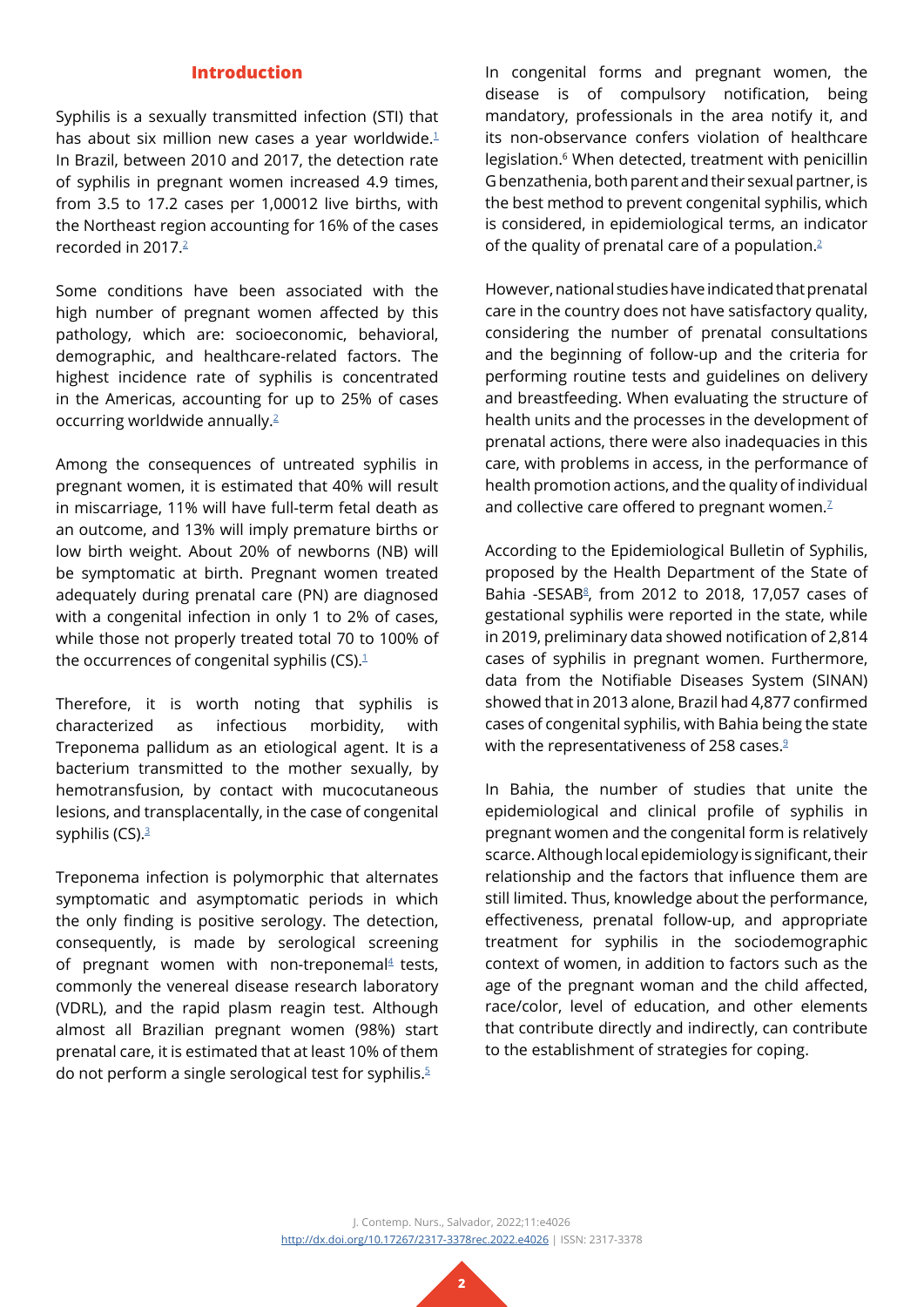## **Introduction**

Syphilis is a sexually transmitted infection (STI) that has about six million new cases a year worldwide.<sup>[1](#page-7-0)</sup> In Brazil, between 2010 and 2017, the detection rate of syphilis in pregnant women increased 4.9 times, from 3.5 to 17.2 cases per 1,00012 live births, with the Northeast region accounting for 16% of the cases recorded in 2017.[2](#page-7-1)

Some conditions have been associated with the high number of pregnant women affected by this pathology, which are: socioeconomic, behavioral, demographic, and healthcare-related factors. The highest incidence rate of syphilis is concentrated in the Americas, accounting for up to 25% of cases occurring worldwide annually.[2](#page-7-1)

Among the consequences of untreated syphilis in pregnant women, it is estimated that 40% will result in miscarriage, 11% will have full-term fetal death as an outcome, and 13% will imply premature births or low birth weight. About 20% of newborns (NB) will be symptomatic at birth. Pregnant women treated adequately during prenatal care (PN) are diagnosed with a congenital infection in only 1 to 2% of cases, while those not properly treated total 70 to 100% of the occurrences of congenital syphilis (CS). $1$ 

Therefore, it is worth noting that syphilis is characterized as infectious morbidity, with Treponema pallidum as an etiological agent. It is a bacterium transmitted to the mother sexually, by hemotransfusion, by contact with mucocutaneous lesions, and transplacentally, in the case of congenital syphilis  $(CS).3$  $(CS).3$ 

Treponema infection is polymorphic that alternates symptomatic and asymptomatic periods in which the only finding is positive serology. The detection, consequently, is made by serological screening of pregnant women with non-treponemal $4$  tests, commonly the venereal disease research laboratory (VDRL), and the rapid plasm reagin test. Although almost all Brazilian pregnant women (98%) start prenatal care, it is estimated that at least 10% of them do not perform a single serological test for syphilis.<sup>[5](#page-8-0)</sup>

In congenital forms and pregnant women, the disease is of compulsory notification, being mandatory, professionals in the area notify it, and its non-observance confers violation of healthcare legislation.<sup>6</sup> When detected, treatment with penicillin G benzathenia, both parent and their sexual partner, is the best method to prevent congenital syphilis, which is considered, in epidemiological terms, an indicator of the quality of prenatal care of a population.<sup>[2](#page-7-1)</sup>

However, national studies have indicated that prenatal care in the country does not have satisfactory quality, considering the number of prenatal consultations and the beginning of follow-up and the criteria for performing routine tests and guidelines on delivery and breastfeeding. When evaluating the structure of health units and the processes in the development of prenatal actions, there were also inadequacies in this care, with problems in access, in the performance of health promotion actions, and the quality of individual and collective care offered to pregnant women.<sup>[7](#page-8-1)</sup>

According to the Epidemiological Bulletin of Syphilis, proposed by the Health Department of the State of Bahia -SESAB<sup>[8](#page-8-2)</sup>, from 2012 to 2018, 17,057 cases of gestational syphilis were reported in the state, while in 2019, preliminary data showed notification of 2,814 cases of syphilis in pregnant women. Furthermore, data from the Notifiable Diseases System (SINAN) showed that in 2013 alone, Brazil had 4,877 confirmed cases of congenital syphilis, with Bahia being the state with the representativeness of 258 cases.<sup>[9](#page-8-3)</sup>

In Bahia, the number of studies that unite the epidemiological and clinical profile of syphilis in pregnant women and the congenital form is relatively scarce. Although local epidemiology is significant, their relationship and the factors that influence them are still limited. Thus, knowledge about the performance, effectiveness, prenatal follow-up, and appropriate treatment for syphilis in the sociodemographic context of women, in addition to factors such as the age of the pregnant woman and the child affected, race/color, level of education, and other elements that contribute directly and indirectly, can contribute to the establishment of strategies for coping.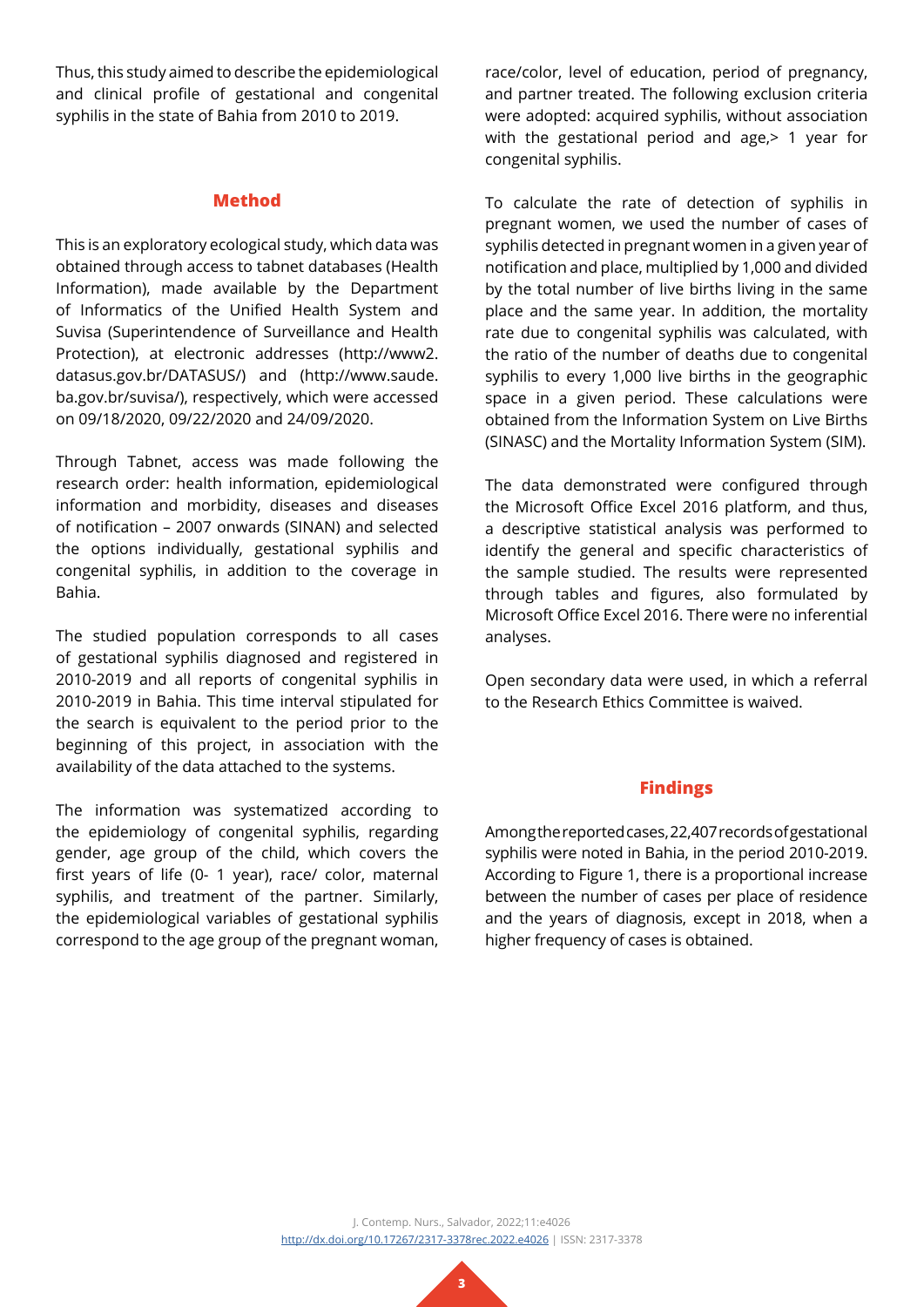Thus, this study aimed to describe the epidemiological and clinical profile of gestational and congenital syphilis in the state of Bahia from 2010 to 2019.

### **Method**

This is an exploratory ecological study, which data was obtained through access to tabnet databases (Health Information), made available by the Department of Informatics of the Unified Health System and Suvisa (Superintendence of Surveillance and Health Protection), at electronic addresses (http://www2. datasus.gov.br/DATASUS/) and (http://www.saude. ba.gov.br/suvisa/), respectively, which were accessed on 09/18/2020, 09/22/2020 and 24/09/2020.

Through Tabnet, access was made following the research order: health information, epidemiological information and morbidity, diseases and diseases of notification – 2007 onwards (SINAN) and selected the options individually, gestational syphilis and congenital syphilis, in addition to the coverage in Bahia.

The studied population corresponds to all cases of gestational syphilis diagnosed and registered in 2010-2019 and all reports of congenital syphilis in 2010-2019 in Bahia. This time interval stipulated for the search is equivalent to the period prior to the beginning of this project, in association with the availability of the data attached to the systems.

The information was systematized according to the epidemiology of congenital syphilis, regarding gender, age group of the child, which covers the first years of life (0- 1 year), race/ color, maternal syphilis, and treatment of the partner. Similarly, the epidemiological variables of gestational syphilis correspond to the age group of the pregnant woman,

race/color, level of education, period of pregnancy, and partner treated. The following exclusion criteria were adopted: acquired syphilis, without association with the gestational period and age, in year for congenital syphilis.

To calculate the rate of detection of syphilis in pregnant women, we used the number of cases of syphilis detected in pregnant women in a given year of notification and place, multiplied by 1,000 and divided by the total number of live births living in the same place and the same year. In addition, the mortality rate due to congenital syphilis was calculated, with the ratio of the number of deaths due to congenital syphilis to every 1,000 live births in the geographic space in a given period. These calculations were obtained from the Information System on Live Births (SINASC) and the Mortality Information System (SIM).

The data demonstrated were configured through the Microsoft Office Excel 2016 platform, and thus, a descriptive statistical analysis was performed to identify the general and specific characteristics of the sample studied. The results were represented through tables and figures, also formulated by Microsoft Office Excel 2016. There were no inferential analyses.

Open secondary data were used, in which a referral to the Research Ethics Committee is waived.

# **Findings**

Among the reported cases, 22,407 records of gestational syphilis were noted in Bahia, in the period 2010-2019. According to Figure 1, there is a proportional increase between the number of cases per place of residence and the years of diagnosis, except in 2018, when a higher frequency of cases is obtained.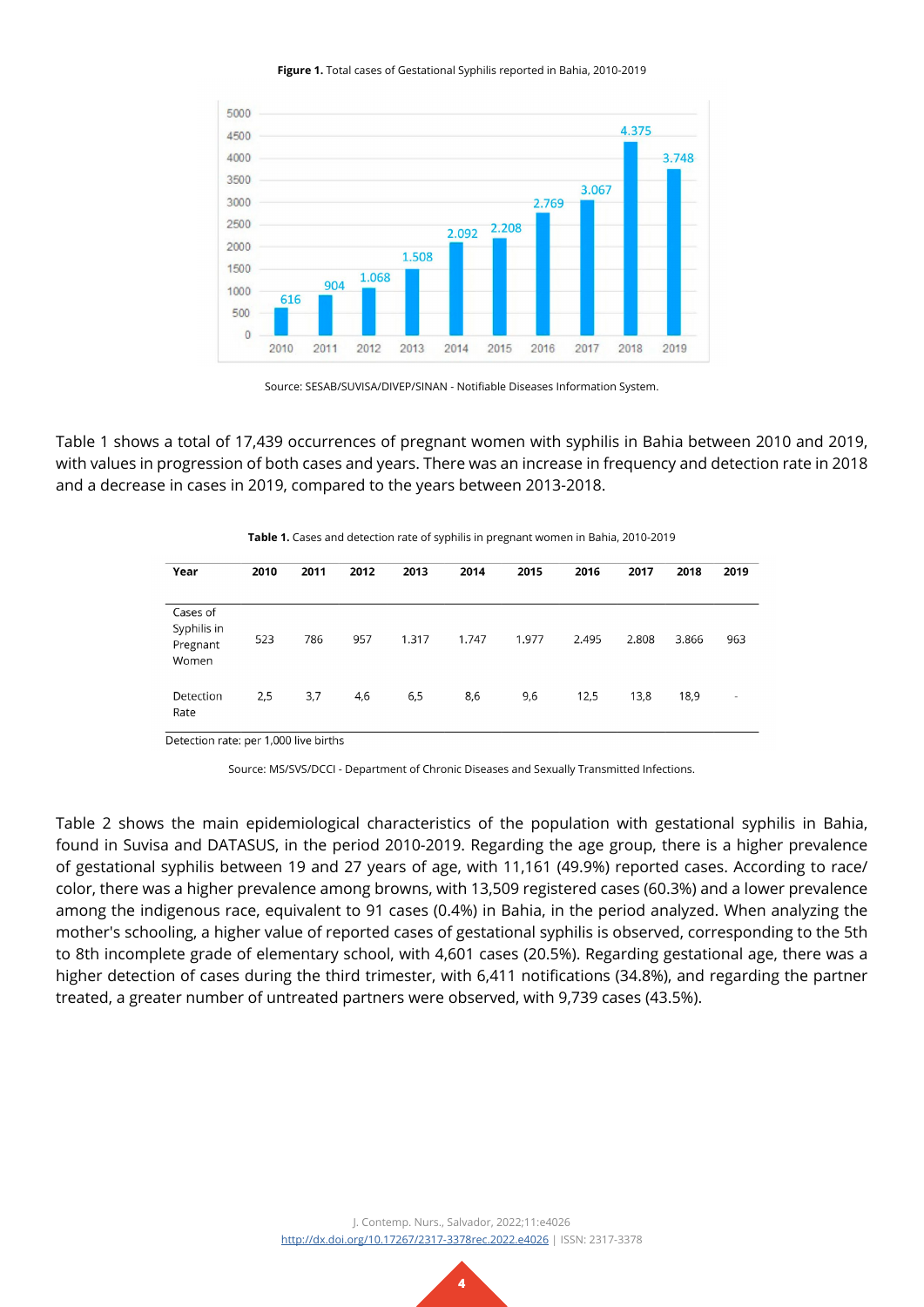#### **Figure 1.** Total cases of Gestational Syphilis reported in Bahia, 2010-2019



Source: SESAB/SUVISA/DIVEP/SINAN - Notifiable Diseases Information System.

Table 1 shows a total of 17,439 occurrences of pregnant women with syphilis in Bahia between 2010 and 2019, with values in progression of both cases and years. There was an increase in frequency and detection rate in 2018 and a decrease in cases in 2019, compared to the years between 2013-2018.

| Year                                         | 2010 | 2011 | 2012 | 2013  | 2014  | 2015  | 2016  | 2017  | 2018  | 2019 |
|----------------------------------------------|------|------|------|-------|-------|-------|-------|-------|-------|------|
|                                              |      |      |      |       |       |       |       |       |       |      |
| Cases of<br>Syphilis in<br>Pregnant<br>Women | 523  | 786  | 957  | 1.317 | 1.747 | 1.977 | 2.495 | 2.808 | 3.866 | 963  |
| Detection<br>Rate                            | 2,5  | 3,7  | 4,6  | 6,5   | 8,6   | 9,6   | 12,5  | 13,8  | 18,9  | ۰    |

**Table 1.** Cases and detection rate of syphilis in pregnant women in Bahia, 2010-2019

Detection rate: per 1,000 live births

Source: MS/SVS/DCCI - Department of Chronic Diseases and Sexually Transmitted Infections.

Table 2 shows the main epidemiological characteristics of the population with gestational syphilis in Bahia, found in Suvisa and DATASUS, in the period 2010-2019. Regarding the age group, there is a higher prevalence of gestational syphilis between 19 and 27 years of age, with 11,161 (49.9%) reported cases. According to race/ color, there was a higher prevalence among browns, with 13,509 registered cases (60.3%) and a lower prevalence among the indigenous race, equivalent to 91 cases (0.4%) in Bahia, in the period analyzed. When analyzing the mother's schooling, a higher value of reported cases of gestational syphilis is observed, corresponding to the 5th to 8th incomplete grade of elementary school, with 4,601 cases (20.5%). Regarding gestational age, there was a higher detection of cases during the third trimester, with 6,411 notifications (34.8%), and regarding the partner treated, a greater number of untreated partners were observed, with 9,739 cases (43.5%).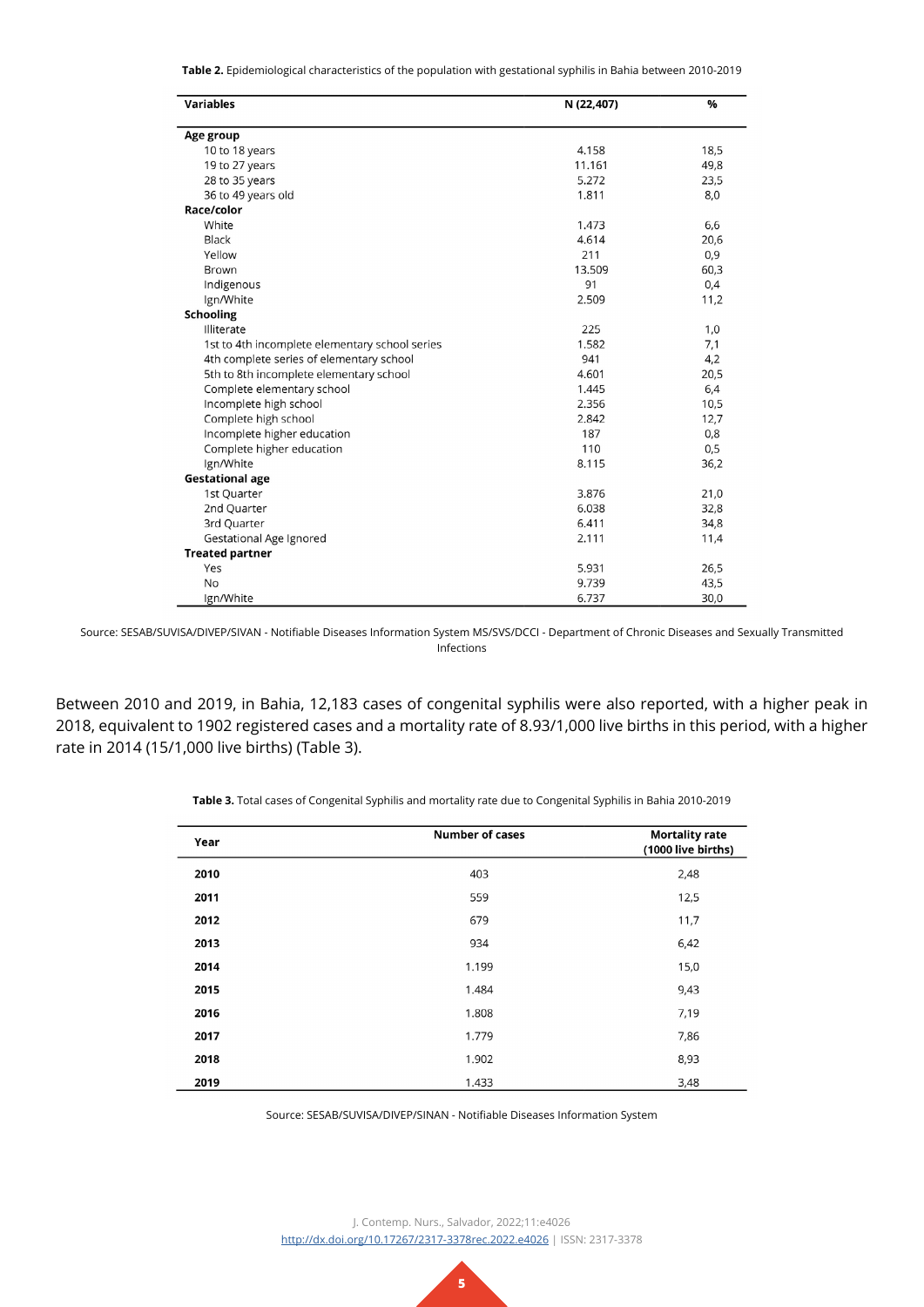**Table 2.** Epidemiological characteristics of the population with gestational syphilis in Bahia between 2010-2019

| <b>Variables</b>                               | N (22,407) | %    |  |
|------------------------------------------------|------------|------|--|
| Age group                                      |            |      |  |
| 10 to 18 years                                 | 4.158      | 18,5 |  |
| 19 to 27 years                                 | 11.161     | 49,8 |  |
| 28 to 35 years                                 | 5.272      | 23,5 |  |
| 36 to 49 years old                             | 1.811      | 8,0  |  |
| Race/color                                     |            |      |  |
| White                                          | 1.473      | 6,6  |  |
| Black                                          | 4.614      | 20,6 |  |
| Yellow                                         | 211        | 0,9  |  |
| <b>Brown</b>                                   | 13.509     | 60,3 |  |
| Indigenous                                     | 91         | 0,4  |  |
| Ign/White                                      | 2.509      | 11,2 |  |
| <b>Schooling</b>                               |            |      |  |
| Illiterate                                     | 225        | 1,0  |  |
| 1st to 4th incomplete elementary school series | 1.582      | 7,1  |  |
| 4th complete series of elementary school       | 941        | 4,2  |  |
| 5th to 8th incomplete elementary school        | 4.601      | 20,5 |  |
| Complete elementary school                     | 1.445      | 6,4  |  |
| Incomplete high school                         | 2.356      | 10,5 |  |
| Complete high school                           | 2.842      | 12,7 |  |
| Incomplete higher education                    | 187        | 0,8  |  |
| Complete higher education                      | 110        | 0,5  |  |
| Ign/White                                      | 8.115      | 36,2 |  |
| <b>Gestational age</b>                         |            |      |  |
| 1st Quarter                                    | 3.876      | 21,0 |  |
| 2nd Quarter                                    | 6.038      | 32,8 |  |
| 3rd Quarter                                    | 6.411      | 34,8 |  |
| Gestational Age Ignored                        | 2.111      | 11,4 |  |
| <b>Treated partner</b>                         |            |      |  |
| Yes                                            | 5.931      | 26,5 |  |
| <b>No</b>                                      | 9.739      | 43,5 |  |
| Ign/White                                      | 6.737      | 30,0 |  |

Source: SESAB/SUVISA/DIVEP/SIVAN - Notifiable Diseases Information System MS/SVS/DCCI - Department of Chronic Diseases and Sexually Transmitted Infections

Between 2010 and 2019, in Bahia, 12,183 cases of congenital syphilis were also reported, with a higher peak in 2018, equivalent to 1902 registered cases and a mortality rate of 8.93/1,000 live births in this period, with a higher rate in 2014 (15/1,000 live births) (Table 3).

| Year | <b>Number of cases</b> | <b>Mortality rate</b><br>(1000 live births) |
|------|------------------------|---------------------------------------------|
| 2010 | 403                    | 2,48                                        |
| 2011 | 559                    | 12,5                                        |
| 2012 | 679                    | 11,7                                        |
| 2013 | 934                    | 6,42                                        |
| 2014 | 1.199                  | 15,0                                        |
| 2015 | 1.484                  | 9,43                                        |
| 2016 | 1.808                  | 7,19                                        |
| 2017 | 1.779                  | 7,86                                        |
| 2018 | 1.902                  | 8,93                                        |
| 2019 | 1.433                  | 3,48                                        |

**Table 3.** Total cases of Congenital Syphilis and mortality rate due to Congenital Syphilis in Bahia 2010-2019

Source: SESAB/SUVISA/DIVEP/SINAN - Notifiable Diseases Information System

J. Contemp. Nurs., Salvador, 2022;11:e4026 <http://dx.doi.org/10.17267/2317-3378rec.2022.e4026>| ISSN: 2317-3378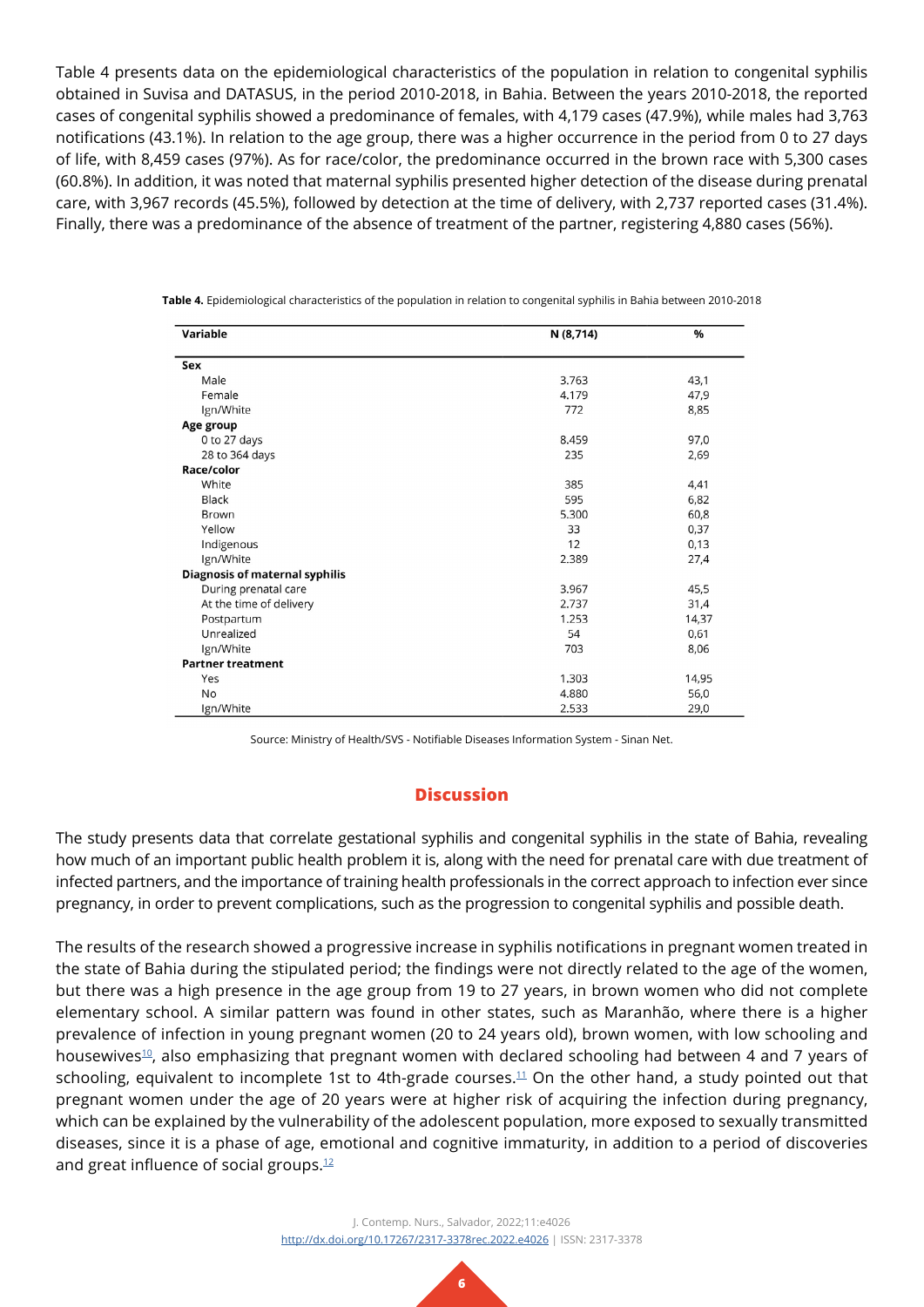Table 4 presents data on the epidemiological characteristics of the population in relation to congenital syphilis obtained in Suvisa and DATASUS, in the period 2010-2018, in Bahia. Between the years 2010-2018, the reported cases of congenital syphilis showed a predominance of females, with 4,179 cases (47.9%), while males had 3,763 notifications (43.1%). In relation to the age group, there was a higher occurrence in the period from 0 to 27 days of life, with 8,459 cases (97%). As for race/color, the predominance occurred in the brown race with 5,300 cases (60.8%). In addition, it was noted that maternal syphilis presented higher detection of the disease during prenatal care, with 3,967 records (45.5%), followed by detection at the time of delivery, with 2,737 reported cases (31.4%). Finally, there was a predominance of the absence of treatment of the partner, registering 4,880 cases (56%).

| Variable                              | N (8,714) | %     |
|---------------------------------------|-----------|-------|
| Sex                                   |           |       |
| Male                                  | 3.763     | 43,1  |
| Female                                | 4.179     | 47,9  |
| Ign/White                             | 772       | 8,85  |
| Age group                             |           |       |
| 0 to 27 days                          | 8.459     | 97,0  |
| 28 to 364 days                        | 235       | 2,69  |
| Race/color                            |           |       |
| White                                 | 385       | 4,41  |
| Black                                 | 595       | 6,82  |
| Brown                                 | 5.300     | 60,8  |
| Yellow                                | 33        | 0,37  |
| Indigenous                            | 12        | 0,13  |
| Ign/White                             | 2.389     | 27,4  |
| <b>Diagnosis of maternal syphilis</b> |           |       |
| During prenatal care                  | 3.967     | 45,5  |
| At the time of delivery               | 2.737     | 31,4  |
| Postpartum                            | 1.253     | 14,37 |
| Unrealized                            | 54        | 0,61  |
| Ign/White                             | 703       | 8,06  |
| <b>Partner treatment</b>              |           |       |
| Yes                                   | 1.303     | 14,95 |
| <b>No</b>                             | 4.880     | 56,0  |
| Ign/White                             | 2.533     | 29,0  |

**Table 4.** Epidemiological characteristics of the population in relation to congenital syphilis in Bahia between 2010-2018

Source: Ministry of Health/SVS - Notifiable Diseases Information System - Sinan Net.

## **Discussion**

The study presents data that correlate gestational syphilis and congenital syphilis in the state of Bahia, revealing how much of an important public health problem it is, along with the need for prenatal care with due treatment of infected partners, and the importance of training health professionals in the correct approach to infection ever since pregnancy, in order to prevent complications, such as the progression to congenital syphilis and possible death.

The results of the research showed a progressive increase in syphilis notifications in pregnant women treated in the state of Bahia during the stipulated period; the findings were not directly related to the age of the women, but there was a high presence in the age group from 19 to 27 years, in brown women who did not complete elementary school. A similar pattern was found in other states, such as Maranhão, where there is a higher prevalence of infection in young pregnant women (20 to 24 years old), brown women, with low schooling and housewives<sup>10</sup>, also emphasizing that pregnant women with declared schooling had between 4 and 7 years of schooling, equivalent to incomplete 1st to 4th-grade courses.<sup>11</sup> On the other hand, a study pointed out that pregnant women under the age of 20 years were at higher risk of acquiring the infection during pregnancy, which can be explained by the vulnerability of the adolescent population, more exposed to sexually transmitted diseases, since it is a phase of age, emotional and cognitive immaturity, in addition to a period of discoveries and great influence of social groups.<sup>[12](#page-8-6)</sup>

> J. Contemp. Nurs., Salvador, 2022;11:e4026 <http://dx.doi.org/10.17267/2317-3378rec.2022.e4026>| ISSN: 2317-3378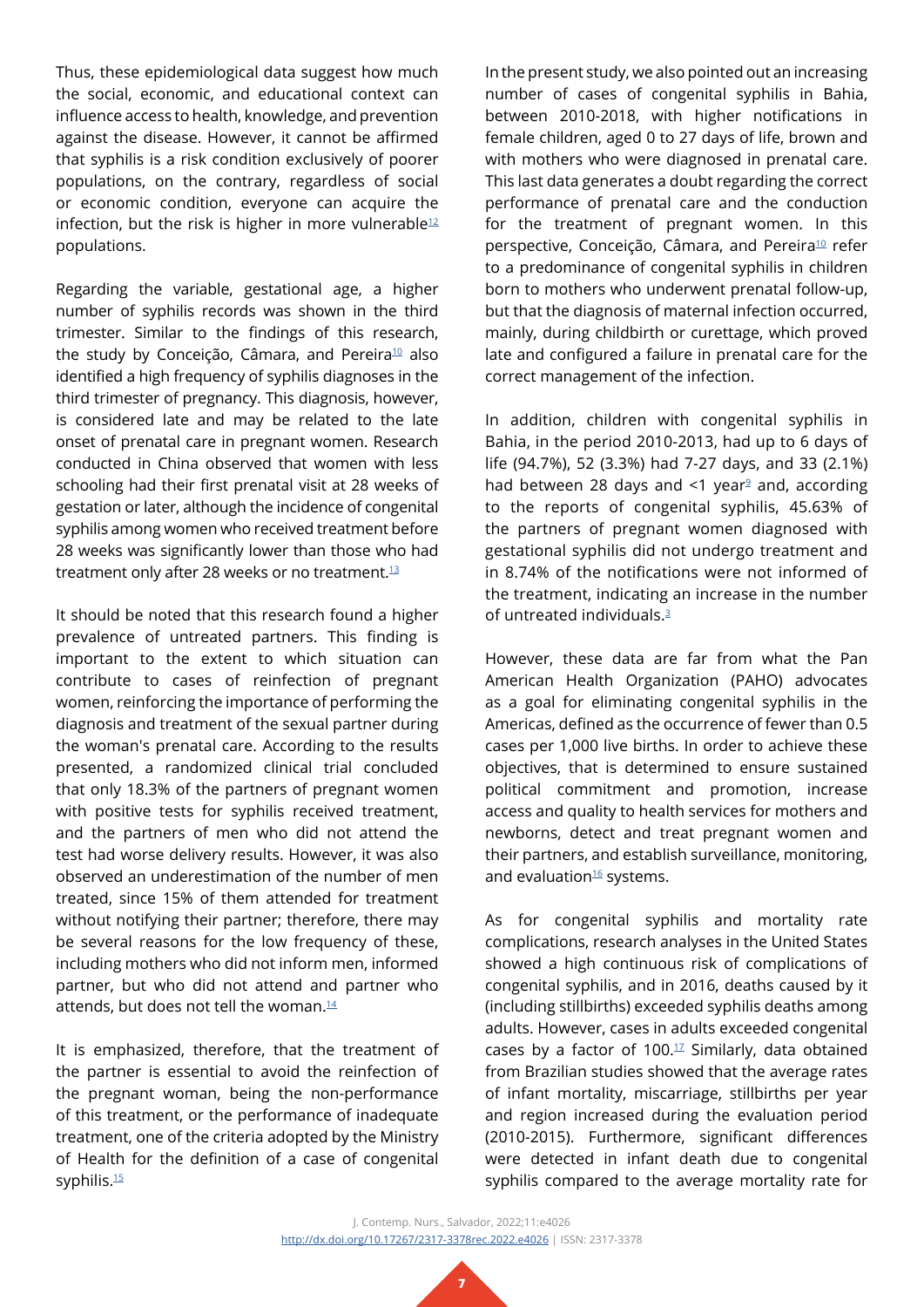Thus, these epidemiological data suggest how much the social, economic, and educational context can influence access to health, knowledge, and prevention against the disease. However, it cannot be affirmed that syphilis is a risk condition exclusively of poorer populations, on the contrary, regardless of social or economic condition, everyone can acquire the infection, but the risk is higher in more vulnerable $12$ populations.

Regarding the variable, gestational age, a higher number of syphilis records was shown in the third trimester. Similar to the findings of this research, the study by Conceição, Câmara, and Pereira<sup>[10](#page-8-4)</sup> also identified a high frequency of syphilis diagnoses in the third trimester of pregnancy. This diagnosis, however, is considered late and may be related to the late onset of prenatal care in pregnant women. Research conducted in China observed that women with less schooling had their first prenatal visit at 28 weeks of gestation or later, although the incidence of congenital syphilis among women who received treatment before 28 weeks was significantly lower than those who had treatment only after 28 weeks or no treatment. $13$ 

It should be noted that this research found a higher prevalence of untreated partners. This finding is important to the extent to which situation can contribute to cases of reinfection of pregnant women, reinforcing the importance of performing the diagnosis and treatment of the sexual partner during the woman's prenatal care. According to the results presented, a randomized clinical trial concluded that only 18.3% of the partners of pregnant women with positive tests for syphilis received treatment, and the partners of men who did not attend the test had worse delivery results. However, it was also observed an underestimation of the number of men treated, since 15% of them attended for treatment without notifying their partner; therefore, there may be several reasons for the low frequency of these, including mothers who did not inform men, informed partner, but who did not attend and partner who attends, but does not tell the woman. $14$ 

It is emphasized, therefore, that the treatment of the partner is essential to avoid the reinfection of the pregnant woman, being the non-performance of this treatment, or the performance of inadequate treatment, one of the criteria adopted by the Ministry of Health for the definition of a case of congenital syphilis.<sup>15</sup>

In the present study, we also pointed out an increasing number of cases of congenital syphilis in Bahia, between 2010-2018, with higher notifications in female children, aged 0 to 27 days of life, brown and with mothers who were diagnosed in prenatal care. This last data generates a doubt regarding the correct performance of prenatal care and the conduction for the treatment of pregnant women. In this perspective, Conceição, Câmara, and Pereira<sup>[10](#page-8-4)</sup> refer to a predominance of congenital syphilis in children born to mothers who underwent prenatal follow-up, but that the diagnosis of maternal infection occurred, mainly, during childbirth or curettage, which proved late and configured a failure in prenatal care for the correct management of the infection.

In addition, children with congenital syphilis in Bahia, in the period 2010-2013, had up to 6 days of life (94.7%), 52 (3.3%) had 7-27 days, and 33 (2.1%) had between 28 days and  $\leq 1$  year<sup>[9](#page-8-3)</sup> and, according to the reports of congenital syphilis, 45.63% of the partners of pregnant women diagnosed with gestational syphilis did not undergo treatment and in 8.74% of the notifications were not informed of the treatment, indicating an increase in the number of untreated individuals.[3](#page-7-2)

However, these data are far from what the Pan American Health Organization (PAHO) advocates as a goal for eliminating congenital syphilis in the Americas, defined as the occurrence of fewer than 0.5 cases per 1,000 live births. In order to achieve these objectives, that is determined to ensure sustained political commitment and promotion, increase access and quality to health services for mothers and newborns, detect and treat pregnant women and their partners, and establish surveillance, monitoring, and evaluation<sup>[16](#page-8-10)</sup> systems.

As for congenital syphilis and mortality rate complications, research analyses in the United States showed a high continuous risk of complications of congenital syphilis, and in 2016, deaths caused by it (including stillbirths) exceeded syphilis deaths among adults. However, cases in adults exceeded congenital cases by a factor of 100. $1/12$  Similarly, data obtained from Brazilian studies showed that the average rates of infant mortality, miscarriage, stillbirths per year and region increased during the evaluation period (2010-2015). Furthermore, significant differences were detected in infant death due to congenital syphilis compared to the average mortality rate for

J. Contemp. Nurs., Salvador, 2022;11:e4026 <http://dx.doi.org/10.17267/2317-3378rec.2022.e4026>| ISSN: 2317-3378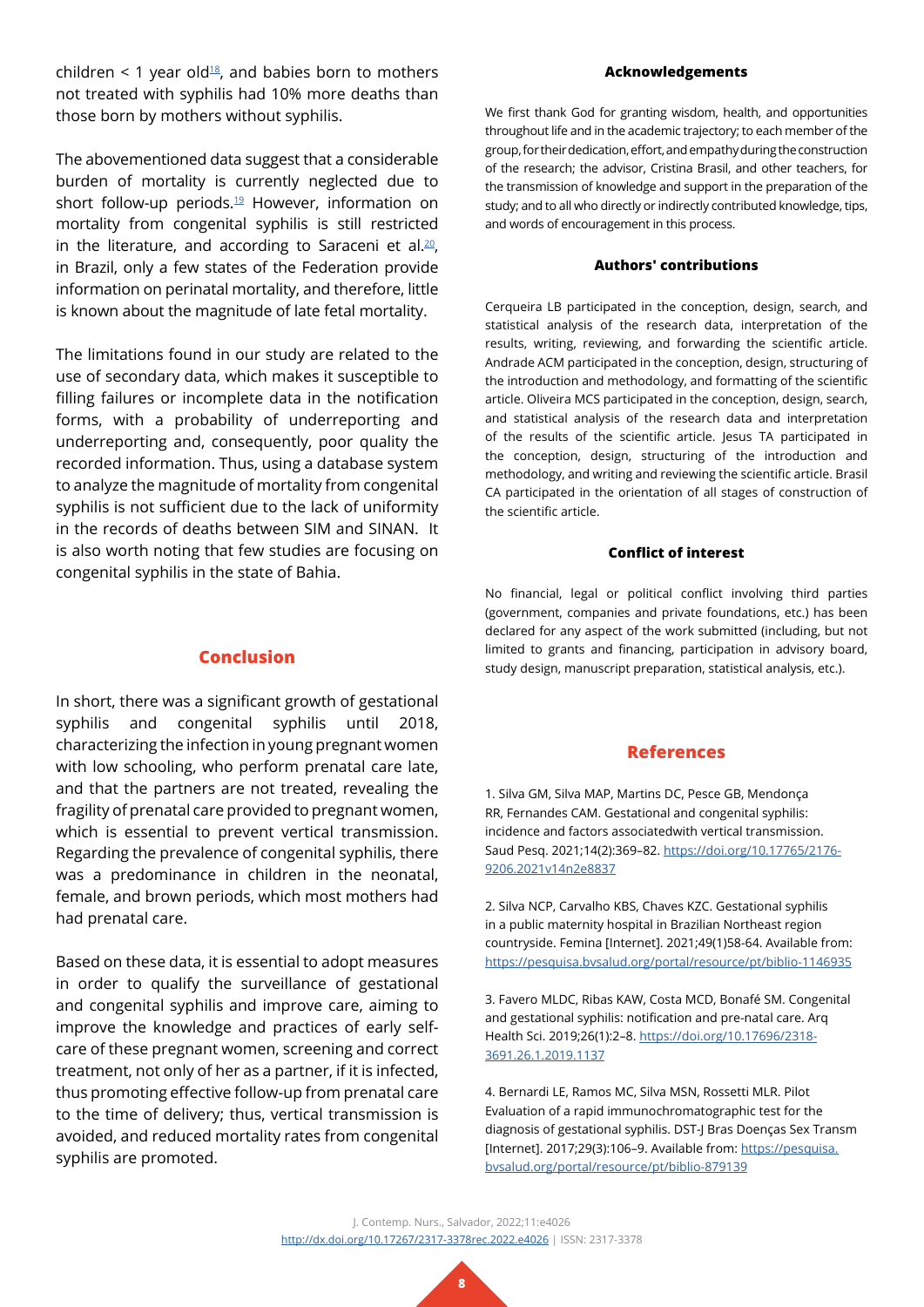children  $\leq$  1 year old<sup>18</sup>, and babies born to mothers not treated with syphilis had 10% more deaths than those born by mothers without syphilis.

The abovementioned data suggest that a considerable burden of mortality is currently neglected due to short follow-up periods.<sup>[19](#page-8-13)</sup> However, information on mortality from congenital syphilis is still restricted in the literature, and according to Saraceni et al.<sup>[20](#page-8-14)</sup>, in Brazil, only a few states of the Federation provide information on perinatal mortality, and therefore, little is known about the magnitude of late fetal mortality.

The limitations found in our study are related to the use of secondary data, which makes it susceptible to filling failures or incomplete data in the notification forms, with a probability of underreporting and underreporting and, consequently, poor quality the recorded information. Thus, using a database system to analyze the magnitude of mortality from congenital syphilis is not sufficient due to the lack of uniformity in the records of deaths between SIM and SINAN. It is also worth noting that few studies are focusing on congenital syphilis in the state of Bahia.

# **Conclusion**

In short, there was a significant growth of gestational syphilis and congenital syphilis until 2018, characterizing the infection in young pregnant women with low schooling, who perform prenatal care late, and that the partners are not treated, revealing the fragility of prenatal care provided to pregnant women, which is essential to prevent vertical transmission. Regarding the prevalence of congenital syphilis, there was a predominance in children in the neonatal, female, and brown periods, which most mothers had had prenatal care.

Based on these data, it is essential to adopt measures in order to qualify the surveillance of gestational and congenital syphilis and improve care, aiming to improve the knowledge and practices of early selfcare of these pregnant women, screening and correct treatment, not only of her as a partner, if it is infected, thus promoting effective follow-up from prenatal care to the time of delivery; thus, vertical transmission is avoided, and reduced mortality rates from congenital syphilis are promoted.

#### **Acknowledgements**

We first thank God for granting wisdom, health, and opportunities throughout life and in the academic trajectory; to each member of the group, for their dedication, effort, and empathy during the construction of the research; the advisor, Cristina Brasil, and other teachers, for the transmission of knowledge and support in the preparation of the study; and to all who directly or indirectly contributed knowledge, tips, and words of encouragement in this process.

### **Authors' contributions**

Cerqueira LB participated in the conception, design, search, and statistical analysis of the research data, interpretation of the results, writing, reviewing, and forwarding the scientific article. Andrade ACM participated in the conception, design, structuring of the introduction and methodology, and formatting of the scientific article. Oliveira MCS participated in the conception, design, search, and statistical analysis of the research data and interpretation of the results of the scientific article. Jesus TA participated in the conception, design, structuring of the introduction and methodology, and writing and reviewing the scientific article. Brasil CA participated in the orientation of all stages of construction of the scientific article.

### **Conflict of interest**

No financial, legal or political conflict involving third parties (government, companies and private foundations, etc.) has been declared for any aspect of the work submitted (including, but not limited to grants and financing, participation in advisory board, study design, manuscript preparation, statistical analysis, etc.).

### **References**

<span id="page-7-0"></span>1. Silva GM, Silva MAP, Martins DC, Pesce GB, Mendonça RR, Fernandes CAM. Gestational and congenital syphilis: incidence and factors associatedwith vertical transmission. Saud Pesq. 2021;14(2):369–82. [https://doi.org/10.17765/2176-](https://doi.org/10.17765/2176-9206.2021v14n2e8837) [9206.2021v14n2e8837](https://doi.org/10.17765/2176-9206.2021v14n2e8837)

<span id="page-7-1"></span>2. Silva NCP, Carvalho KBS, Chaves KZC. Gestational syphilis in a public maternity hospital in Brazilian Northeast region countryside. Femina [Internet]. 2021;49(1)58-64. Available from: <https://pesquisa.bvsalud.org/portal/resource/pt/biblio-1146935>

<span id="page-7-2"></span>3. Favero MLDC, Ribas KAW, Costa MCD, Bonafé SM. Congenital and gestational syphilis: notification and pre-natal care. Arq Health Sci. 2019;26(1):2–8. [https://doi.org/10.17696/2318-](https://doi.org/10.17696/2318-3691.26.1.2019.1137) [3691.26.1.2019.1137](https://doi.org/10.17696/2318-3691.26.1.2019.1137)

<span id="page-7-3"></span>4. Bernardi LE, Ramos MC, Silva MSN, Rossetti MLR. Pilot Evaluation of a rapid immunochromatographic test for the diagnosis of gestational syphilis. DST-J Bras Doenças Sex Transm [Internet]. 2017;29(3):106–9. Available from: [https://pesquisa.](https://pesquisa.bvsalud.org/portal/resource/pt/biblio-879139) [bvsalud.org/portal/resource/pt/biblio-879139](https://pesquisa.bvsalud.org/portal/resource/pt/biblio-879139)

J. Contemp. Nurs., Salvador, 2022;11:e4026 <http://dx.doi.org/10.17267/2317-3378rec.2022.e4026>| ISSN: 2317-3378